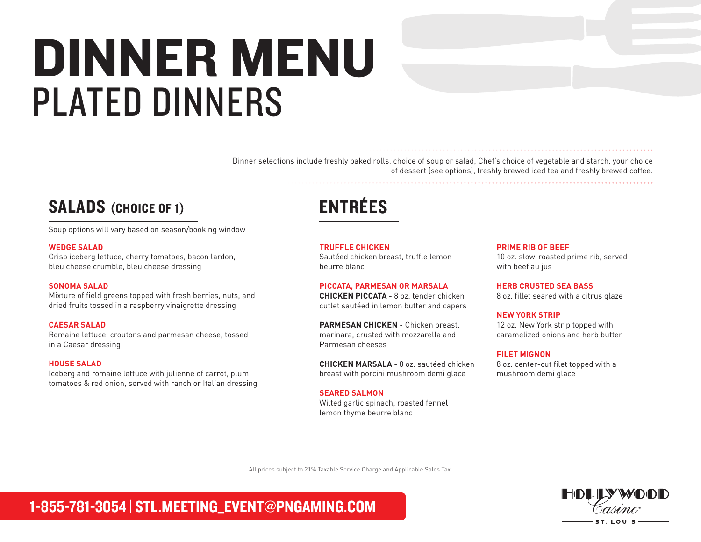## DINNER MENU PLATED DINNERS

Dinner selections include freshly baked rolls, choice of soup or salad, Chef's choice of vegetable and starch, your choice of dessert (see options), freshly brewed iced tea and freshly brewed coffee.

### SALADS (CHOICE OF 1)

Soup options will vary based on season/booking window

### **WEDGE SALAD**

Crisp iceberg lettuce, cherry tomatoes, bacon lardon, bleu cheese crumble, bleu cheese dressing

### **SONOMA SALAD**

Mixture of field greens topped with fresh berries, nuts, and dried fruits tossed in a raspberry vinaigrette dressing

### **CAESAR SALAD**

Romaine lettuce, croutons and parmesan cheese, tossed in a Caesar dressing

### **HOUSE SALAD**

Iceberg and romaine lettuce with julienne of carrot, plum tomatoes & red onion, served with ranch or Italian dressing

## ENTRÉES

**TRUFFLE CHICKEN** Sautéed chicken breast, truffle lemon

beurre blanc

### **PICCATA, PARMESAN OR MARSALA**

**CHICKEN PICCATA** - 8 oz. tender chicken cutlet sautéed in lemon butter and capers

**PARMESAN CHICKEN** - Chicken breast, marinara, crusted with mozzarella and Parmesan cheeses

**CHICKEN MARSALA** - 8 oz. sautéed chicken breast with porcini mushroom demi glace

### **SEARED SALMON**

Wilted garlic spinach, roasted fennel lemon thyme beurre blanc

#### **PRIME RIB OF BEEF**

10 oz. slow-roasted prime rib, served with beef au jus

**HERB CRUSTED SEA BASS** 8 oz. fillet seared with a citrus glaze

**NEW YORK STRIP** 12 oz. New York strip topped with caramelized onions and herb butter

### **FILET MIGNON**

8 oz. center-cut filet topped with a mushroom demi glace

All prices subject to 21% Taxable Service Charge and Applicable Sales Tax.

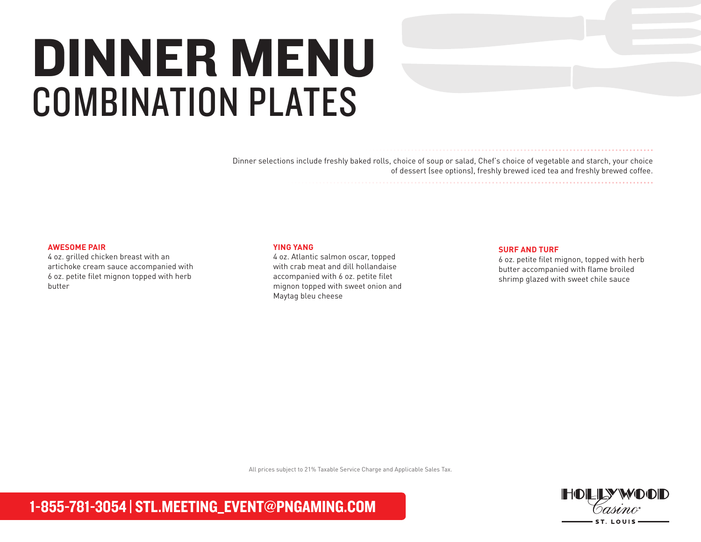## DINNER MENU COMBINATION PLATES

Dinner selections include freshly baked rolls, choice of soup or salad, Chef's choice of vegetable and starch, your choice of dessert (see options), freshly brewed iced tea and freshly brewed coffee.

### **AWESOME PAIR**

4 oz. grilled chicken breast with an artichoke cream sauce accompanied with 6 oz. petite filet mignon topped with herb butter

### **YING YANG**

4 oz. Atlantic salmon oscar, topped with crab meat and dill hollandaise accompanied with 6 oz. petite filet mignon topped with sweet onion and Maytag bleu cheese

#### **SURF AND TURF**

6 oz. petite filet mignon, topped with herb butter accompanied with flame broiled shrimp glazed with sweet chile sauce

All prices subject to 21% Taxable Service Charge and Applicable Sales Tax.